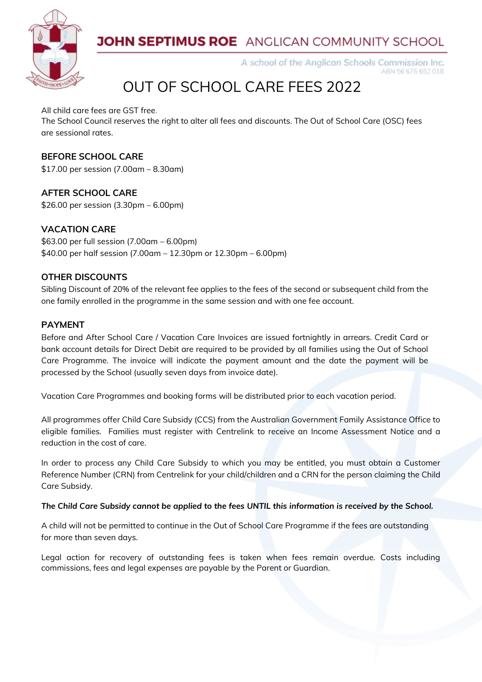

### **JOHN SEPTIMUS ROE** ANGLICAN COMMUNITY SCHOOL

A school of the Anglican Schools Commission Inc. ABN 56 676 652 018

# OUT OF SCHOOL CARE FEES 2022

All child care fees are GST free.

The School Council reserves the right to alter all fees and discounts. The Out of School Care (OSC) fees are sessional rates.

### **BEFORE SCHOOL CARE**

\$17.00 per session (7.00am – 8.30am)

**AFTER SCHOOL CARE** \$26.00 per session (3.30pm – 6.00pm)

### **VACATION CARE**

\$63.00 per full session (7.00am – 6.00pm) \$40.00 per half session (7.00am – 12.30pm or 12.30pm – 6.00pm)

### **OTHER DISCOUNTS**

Sibling Discount of 20% of the relevant fee applies to the fees of the second or subsequent child from the one family enrolled in the programme in the same session and with one fee account.

### **PAYMENT**

Before and After School Care / Vacation Care Invoices are issued fortnightly in arrears. Credit Card or bank account details for Direct Debit are required to be provided by all families using the Out of School Care Programme. The invoice will indicate the payment amount and the date the payment will be processed by the School (usually seven days from invoice date).

Vacation Care Programmes and booking forms will be distributed prior to each vacation period.

All programmes offer Child Care Subsidy (CCS) from the Australian Government Family Assistance Office to eligible families. Families must register with Centrelink to receive an Income Assessment Notice and a reduction in the cost of care.

In order to process any Child Care Subsidy to which you may be entitled, you must obtain a Customer Reference Number (CRN) from Centrelink for your child/children and a CRN for the person claiming the Child Care Subsidy.

#### *The Child Care Subsidy cannot be applied to the fees UNTIL this information is received by the School.*

A child will not be permitted to continue in the Out of School Care Programme if the fees are outstanding for more than seven days.

Legal action for recovery of outstanding fees is taken when fees remain overdue. Costs including commissions, fees and legal expenses are payable by the Parent or Guardian.